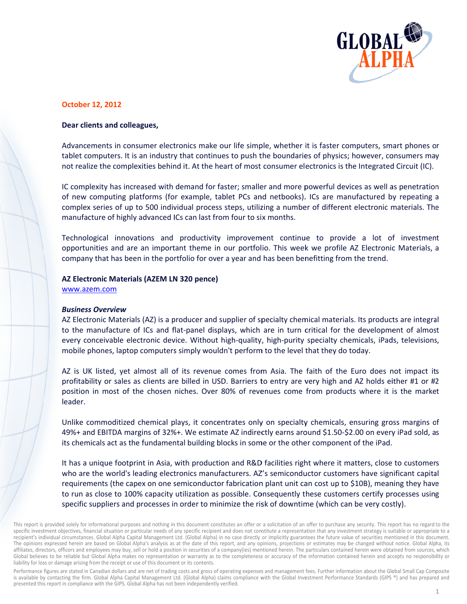

## **October 12, 2012**

## Dear clients and colleagues,

Advancements in consumer electronics make our life simple, whether it is faster computers, smart phones or tablet computers. It is an industry that continues to push the boundaries of physics; however, consumers may not realize the complexities behind it. At the heart of most consumer electronics is the Integrated Circuit (IC).

IC complexity has increased with demand for faster; smaller and more powerful devices as well as penetration of new computing platforms (for example, tablet PCs and netbooks). ICs are manufactured by repeating a complex series of up to 500 individual process steps, utilizing a number of different electronic materials. The manufacture of highly advanced ICs can last from four to six months.

Technological innovations and productivity improvement continue to provide a lot of investment opportunities and are an important theme in our portfolio. This week we profile AZ Electronic Materials, a company that has been in the portfolio for over a year and has been benefitting from the trend.

#### AZ Electronic Materials (AZEM LN 320 pence)

www.azem.com

#### **Business Overview**

AZ Electronic Materials (AZ) is a producer and supplier of specialty chemical materials. Its products are integral to the manufacture of ICs and flat-panel displays, which are in turn critical for the development of almost every conceivable electronic device. Without high-quality, high-purity specialty chemicals, iPads, televisions, mobile phones, laptop computers simply wouldn't perform to the level that they do today.

AZ is UK listed, yet almost all of its revenue comes from Asia. The faith of the Euro does not impact its profitability or sales as clients are billed in USD. Barriers to entry are very high and AZ holds either #1 or #2 position in most of the chosen niches. Over 80% of revenues come from products where it is the market leader.

Unlike commoditized chemical plays, it concentrates only on specialty chemicals, ensuring gross margins of 49%+ and EBITDA margins of 32%+. We estimate AZ indirectly earns around \$1.50-\$2.00 on every iPad sold, as its chemicals act as the fundamental building blocks in some or the other component of the iPad.

It has a unique footprint in Asia, with production and R&D facilities right where it matters, close to customers who are the world's leading electronics manufacturers. AZ's semiconductor customers have significant capital requirements (the capex on one semiconductor fabrication plant unit can cost up to \$10B), meaning they have to run as close to 100% capacity utilization as possible. Consequently these customers certify processes using specific suppliers and processes in order to minimize the risk of downtime (which can be very costly).

Performance figures are stated in Canadian dollars and are net of trading costs and gross of operating expenses and management fees. Further information about the Global Small Cap Composite is available by contacting the firm. Global Alpha Capital Management Ltd. (Global Alpha) claims compliance with the Global Investment Performance Standards (GIPS ®) and has prepared and presented this report in compliance with the GIPS. Global Alpha has not been independently verified.

This report is provided solely for informational purposes and nothing in this document constitutes an offer or a solicitation of an offer to purchase any security. This report has no regard to the specific investment objectives, financial situation or particular needs of any specific recipient and does not constitute a representation that any investment strategy is suitable or appropriate to a recipient's individual circumstances. Global Alpha Capital Management Ltd. (Global Alpha) in no case directly or implicitly guarantees the future value of securities mentioned in this document. The opinions expressed herein are based on Global Alpha's analysis as at the date of this report, and any opinions, projections or estimates may be changed without notice. Global Alpha, its affiliates, directors, officers and employees may buy, sell or hold a position in securities of a company(ies) mentioned herein. The particulars contained herein were obtained from sources, which Global believes to be reliable but Global Alpha makes no representation or warranty as to the completeness or accuracy of the information contained herein and accepts no responsibility or liability for loss or damage arising from the receipt or use of this document or its contents.